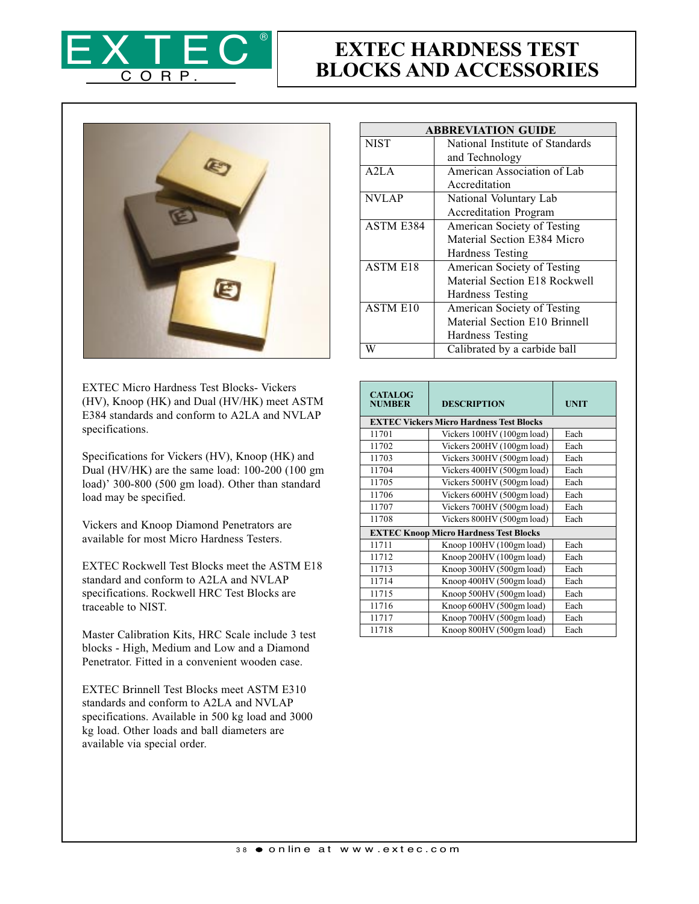

## EXTEC HARDNESS TEST BLOCKS AND ACCESSORIES



EXTEC Micro Hardness Test Blocks- Vickers (HV), Knoop (HK) and Dual (HV/HK) meet ASTM E384 standards and conform to A2LA and NVLAP specifications.

Specifications for Vickers (HV), Knoop (HK) and Dual (HV/HK) are the same load: 100-200 (100 gm load)' 300-800 (500 gm load). Other than standard load may be specified.

Vickers and Knoop Diamond Penetrators are available for most Micro Hardness Testers.

EXTEC Rockwell Test Blocks meet the ASTM E18 standard and conform to A2LA and NVLAP specifications. Rockwell HRC Test Blocks are traceable to NIST.

Master Calibration Kits, HRC Scale include 3 test blocks - High, Medium and Low and a Diamond Penetrator. Fitted in a convenient wooden case.

EXTEC Brinnell Test Blocks meet ASTM E310 standards and conform to A2LA and NVLAP specifications. Available in 500 kg load and 3000 kg load. Other loads and ball diameters are available via special order.

| <b>ABBREVIATION GUIDE</b> |                                 |  |
|---------------------------|---------------------------------|--|
| <b>NIST</b>               | National Institute of Standards |  |
|                           | and Technology                  |  |
| A2LA                      | American Association of Lab     |  |
|                           | Accreditation                   |  |
| <b>NVLAP</b>              | National Voluntary Lab          |  |
|                           | Accreditation Program           |  |
| <b>ASTM E384</b>          | American Society of Testing     |  |
|                           | Material Section E384 Micro     |  |
|                           | Hardness Testing                |  |
| <b>ASTM E18</b>           | American Society of Testing     |  |
|                           | Material Section E18 Rockwell   |  |
|                           | Hardness Testing                |  |
| <b>ASTM E10</b>           | American Society of Testing     |  |
|                           | Material Section E10 Brinnell   |  |
|                           | Hardness Testing                |  |
| W                         | Calibrated by a carbide ball    |  |

| <b>CATALOG</b><br><b>NUMBER</b> | <b>DESCRIPTION</b>                              | <b>UNIT</b> |  |
|---------------------------------|-------------------------------------------------|-------------|--|
|                                 | <b>EXTEC Vickers Micro Hardness Test Blocks</b> |             |  |
| 11701                           | Vickers 100HV (100gm load)                      | Each        |  |
| 11702                           | Vickers 200HV (100gm load)                      | Each        |  |
| 11703                           | Vickers 300HV (500gm load)                      | Each        |  |
| 11704                           | Vickers 400HV (500gm load)                      | Each        |  |
| 11705                           | Vickers 500HV (500gm load)                      | Each        |  |
| 11706                           | Vickers 600HV (500gm load)                      | Each        |  |
| 11707                           | Vickers 700HV (500gm load)                      | Each        |  |
| 11708                           | Vickers 800HV (500gm load)                      | Each        |  |
|                                 | <b>EXTEC Knoop Micro Hardness Test Blocks</b>   |             |  |
| 11711                           | Knoop 100HV (100gm load)                        | Each        |  |
| 11712                           | Knoop 200HV (100gm load)                        | Each        |  |
| 11713                           | Knoop 300HV (500gm load)                        | Each        |  |
| 11714                           | Knoop 400HV (500gm load)                        | Each        |  |
| 11715                           | Knoop 500HV (500gm load)                        | Each        |  |
| 11716                           | Knoop 600HV (500gm load)                        | Each        |  |
| 11717                           | Knoop 700HV (500gm load)                        | Each        |  |
| 11718                           | Knoop 800HV (500gm load)                        | Each        |  |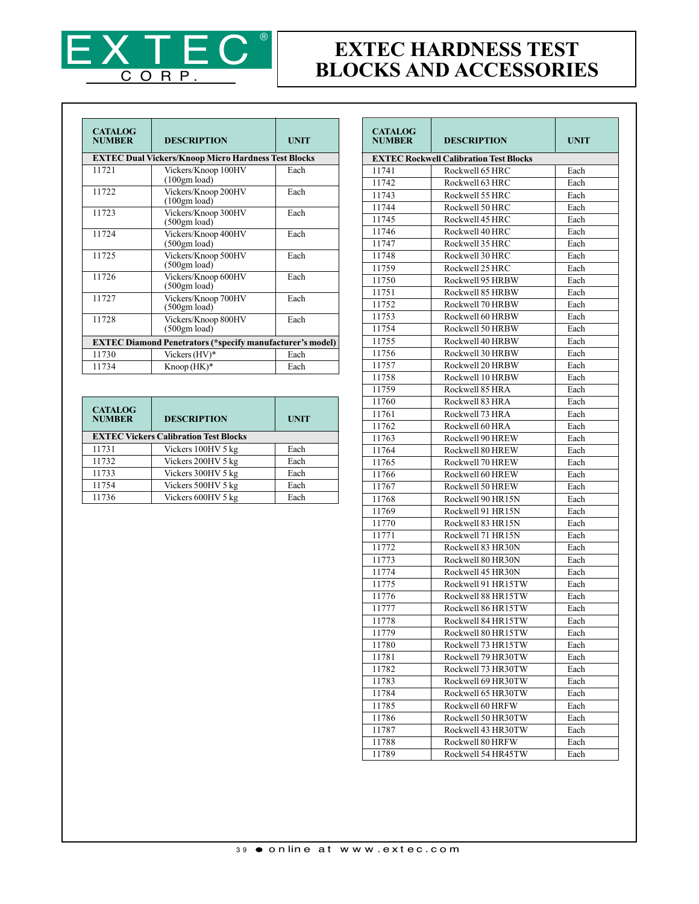

## EXTEC HARDNESS TEST BLOCKS AND ACCESSORIES

| <b>CATALOG</b><br><b>NUMBER</b>                                  | <b>DESCRIPTION</b>                                         | <b>UNIT</b> |  |
|------------------------------------------------------------------|------------------------------------------------------------|-------------|--|
|                                                                  | <b>EXTEC Dual Vickers/Knoop Micro Hardness Test Blocks</b> |             |  |
| 11721                                                            | Vickers/Knoop 100HV<br>(100gm load)                        | Each        |  |
| 11722                                                            | Vickers/Knoop 200HV<br>(100gm load)                        | Each        |  |
| 11723                                                            | Vickers/Knoop 300HV<br>(500gm load)                        | Each        |  |
| 11724                                                            | Vickers/Knoop 400HV<br>(500gm load)                        | Each        |  |
| 11725                                                            | Vickers/Knoop 500HV<br>(500gm load)                        | Each        |  |
| 11726                                                            | Vickers/Knoop 600HV<br>(500gm load)                        | Each        |  |
| 11727                                                            | Vickers/Knoop 700HV<br>(500gm load)                        | Each        |  |
| 11728                                                            | Vickers/Knoop 800HV<br>(500gm load)                        | Each        |  |
| <b>EXTEC Diamond Penetrators (*specify manufacturer's model)</b> |                                                            |             |  |
| 11730                                                            | Vickers (HV)*                                              | Each        |  |
| 11734                                                            | $K$ noop $(HK)^*$                                          | Each        |  |

| <b>CATALOG</b><br><b>NUMBER</b>              | <b>DESCRIPTION</b> | <b>UNIT</b> |
|----------------------------------------------|--------------------|-------------|
| <b>EXTEC Vickers Calibration Test Blocks</b> |                    |             |
| 11731                                        | Vickers 100HV 5 kg | Each        |
| 11732                                        | Vickers 200HV 5 kg | Each        |
| 11733                                        | Vickers 300HV 5 kg | Each        |
| 11754                                        | Vickers 500HV 5 kg | Each        |
| 11736                                        | Vickers 600HV 5 kg | Each        |

| <b>CATALOG</b><br><b>NUMBER</b> | <b>DESCRIPTION</b>                            | <b>UNIT</b> |
|---------------------------------|-----------------------------------------------|-------------|
|                                 | <b>EXTEC Rockwell Calibration Test Blocks</b> |             |
| 11741                           | Rockwell 65 HRC                               | Each        |
| 11742                           | Rockwell 63 HRC                               | Each        |
| 11743                           | Rockwell 55 HRC                               | Each        |
| 11744                           | Rockwell 50 HRC                               | Each        |
| 11745                           | Rockwell 45 HRC                               | Each        |
| 11746                           | Rockwell 40 HRC                               | Each        |
| 11747                           | Rockwell 35 HRC                               | Each        |
| 11748                           | Rockwell 30 HRC                               | Each        |
| 11759                           | Rockwell 25 HRC                               | Each        |
| 11750                           | Rockwell 95 HRBW                              | Each        |
| 11751                           | Rockwell 85 HRBW                              | Each        |
| 11752                           | Rockwell 70 HRBW                              | Each        |
| 11753                           | Rockwell 60 HRBW                              | Each        |
| 11754                           | Rockwell 50 HRBW                              | Each        |
| 11755                           | Rockwell 40 HRBW                              | Each        |
| 11756                           | Rockwell 30 HRBW                              | Each        |
| 11757                           | Rockwell 20 HRBW                              | Each        |
| 11758                           | Rockwell 10 HRBW                              | Each        |
| 11759                           | Rockwell 85 HRA                               | Each        |
| 11760                           | Rockwell 83 HRA                               | Each        |
| 11761                           | Rockwell 73 HRA                               | Each        |
| 11762                           | Rockwell 60 HRA                               | Each        |
| 11763                           | Rockwell 90 HREW                              | Each        |
|                                 | Rockwell 80 HREW                              | Each        |
| 11764                           |                                               |             |
| 11765                           | Rockwell 70 HREW                              | Each        |
| 11766                           | Rockwell 60 HREW                              | Each        |
| 11767                           | Rockwell 50 HREW                              | Each        |
| 11768                           | Rockwell 90 HR15N                             | Each        |
| 11769                           | Rockwell 91 HR15N                             | Each        |
| 11770                           | Rockwell 83 HR15N                             | Each        |
| 11771                           | Rockwell 71 HR15N                             | Each        |
| 11772                           | Rockwell 83 HR30N                             | Each        |
| 11773                           | Rockwell 80 HR30N                             | Each        |
| 11774                           | Rockwell 45 HR30N                             | Each        |
| 11775                           | Rockwell 91 HR15TW                            | Each        |
| 11776                           | Rockwell 88 HR15TW                            | Each        |
| 11777                           | Rockwell 86 HR15TW                            | Each        |
| 11778                           | Rockwell 84 HR15TW                            | Each        |
| 11779                           | Rockwell 80 HR15TW                            | Each        |
| 11780                           | Rockwell 73 HR15TW                            | Each        |
| 11781                           | Rockwell 79 HR30TW                            | Each        |
| 11782                           | Rockwell 73 HR30TW                            | Each        |
| 11783                           | Rockwell 69 HR30TW                            | Each        |
| 11784                           | Rockwell 65 HR30TW                            | Each        |
| 11785                           | Rockwell 60 HRFW                              | Each        |
| 11786                           | Rockwell 50 HR30TW                            | Each        |
| 11787                           | Rockwell 43 HR30TW                            | Each        |
| 11788                           | Rockwell 80 HRFW                              | Each        |
| 11789                           | Rockwell 54 HR45TW                            | Each        |